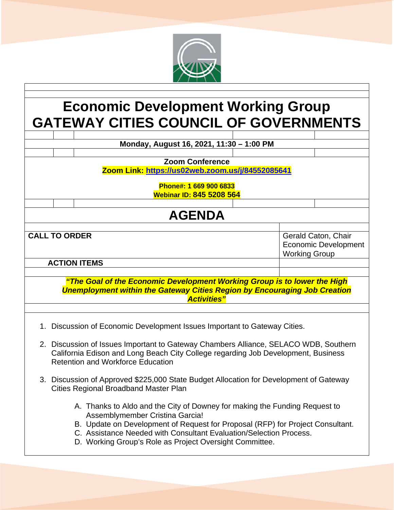

## **Economic Development Working Group GATEWAY CITIES COUNCIL OF GOVERNMENTS**

|                                                                                                                                                                                                                       |                                                                                                                                 | Monday, August 16, 2021, 11:30 - 1:00 PM                                                                                                                                                                                                                              |  |                      |                             |  |
|-----------------------------------------------------------------------------------------------------------------------------------------------------------------------------------------------------------------------|---------------------------------------------------------------------------------------------------------------------------------|-----------------------------------------------------------------------------------------------------------------------------------------------------------------------------------------------------------------------------------------------------------------------|--|----------------------|-----------------------------|--|
|                                                                                                                                                                                                                       |                                                                                                                                 |                                                                                                                                                                                                                                                                       |  |                      |                             |  |
|                                                                                                                                                                                                                       |                                                                                                                                 | <b>Zoom Conference</b>                                                                                                                                                                                                                                                |  |                      |                             |  |
| Zoom Link: https://us02web.zoom.us/j/84552085641                                                                                                                                                                      |                                                                                                                                 |                                                                                                                                                                                                                                                                       |  |                      |                             |  |
|                                                                                                                                                                                                                       |                                                                                                                                 |                                                                                                                                                                                                                                                                       |  |                      |                             |  |
|                                                                                                                                                                                                                       |                                                                                                                                 | Phone#: 1 669 900 6833                                                                                                                                                                                                                                                |  |                      |                             |  |
|                                                                                                                                                                                                                       |                                                                                                                                 | <b>Webinar ID: 845 5208 564</b>                                                                                                                                                                                                                                       |  |                      |                             |  |
|                                                                                                                                                                                                                       |                                                                                                                                 |                                                                                                                                                                                                                                                                       |  |                      |                             |  |
| <b>AGENDA</b>                                                                                                                                                                                                         |                                                                                                                                 |                                                                                                                                                                                                                                                                       |  |                      |                             |  |
|                                                                                                                                                                                                                       |                                                                                                                                 |                                                                                                                                                                                                                                                                       |  |                      |                             |  |
| <b>CALL TO ORDER</b>                                                                                                                                                                                                  |                                                                                                                                 |                                                                                                                                                                                                                                                                       |  | Gerald Caton, Chair  |                             |  |
|                                                                                                                                                                                                                       |                                                                                                                                 |                                                                                                                                                                                                                                                                       |  |                      | <b>Economic Development</b> |  |
|                                                                                                                                                                                                                       |                                                                                                                                 |                                                                                                                                                                                                                                                                       |  | <b>Working Group</b> |                             |  |
| <b>ACTION ITEMS</b>                                                                                                                                                                                                   |                                                                                                                                 |                                                                                                                                                                                                                                                                       |  |                      |                             |  |
|                                                                                                                                                                                                                       |                                                                                                                                 |                                                                                                                                                                                                                                                                       |  |                      |                             |  |
| "The Goal of the Economic Development Working Group is to lower the High<br><b>Unemployment within the Gateway Cities Region by Encouraging Job Creation</b><br><b>Activities"</b>                                    |                                                                                                                                 |                                                                                                                                                                                                                                                                       |  |                      |                             |  |
|                                                                                                                                                                                                                       |                                                                                                                                 |                                                                                                                                                                                                                                                                       |  |                      |                             |  |
| 1. Discussion of Economic Development Issues Important to Gateway Cities.                                                                                                                                             |                                                                                                                                 |                                                                                                                                                                                                                                                                       |  |                      |                             |  |
| 2. Discussion of Issues Important to Gateway Chambers Alliance, SELACO WDB, Southern<br>California Edison and Long Beach City College regarding Job Development, Business<br><b>Retention and Workforce Education</b> |                                                                                                                                 |                                                                                                                                                                                                                                                                       |  |                      |                             |  |
|                                                                                                                                                                                                                       | 3. Discussion of Approved \$225,000 State Budget Allocation for Development of Gateway<br>Cities Regional Broadband Master Plan |                                                                                                                                                                                                                                                                       |  |                      |                             |  |
|                                                                                                                                                                                                                       |                                                                                                                                 | A. Thanks to Aldo and the City of Downey for making the Funding Request to<br>Assemblymember Cristina Garcia!<br>B. Update on Development of Request for Proposal (RFP) for Project Consultant.<br>C. Assistance Needed with Consultant Evaluation/Selection Process. |  |                      |                             |  |

D. Working Group's Role as Project Oversight Committee.